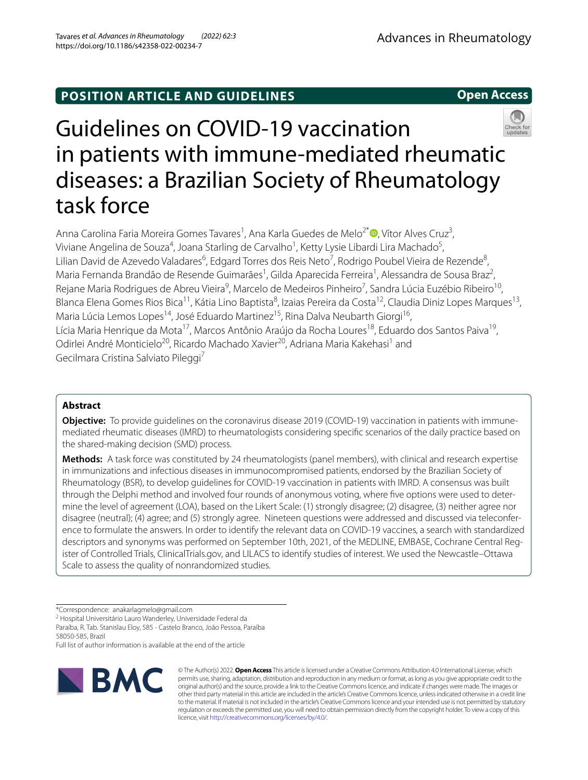# **POSITION ARTICLE AND GUIDELINES**

# Guidelines on COVID-19 vaccination in patients with immune-mediated rheumatic diseases: a Brazilian Society of Rheumatology task force

Anna Carolina Faria Moreira Gomes Tavares<sup>1</sup>[,](http://orcid.org/0000-0002-4809-9965) Ana Karla Guedes de Melo<sup>2\*</sup>®, Vítor Alves Cruz<sup>3</sup>, Viviane Angelina de Souza<sup>4</sup>, Joana Starling de Carvalho<sup>1</sup>, Ketty Lysie Libardi Lira Machado<sup>5</sup>, Lilian David de Azevedo Valadares<sup>6</sup>, Edgard Torres dos Reis Neto<sup>7</sup>, Rodrigo Poubel Vieira de Rezende<sup>8</sup>, Maria Fernanda Brandão de Resende Guimarães<sup>1</sup>, Gilda Aparecida Ferreira<sup>1</sup>, Alessandra de Sousa Braz<sup>2</sup>, Rejane Maria Rodrigues de Abreu Vieira<sup>9</sup>, Marcelo de Medeiros Pinheiro<sup>7</sup>, Sandra Lúcia Euzébio Ribeiro<sup>10</sup>, Blanca Elena Gomes Rios Bica<sup>11</sup>, Kátia Lino Baptista<sup>8</sup>, Izaias Pereira da Costa<sup>12</sup>, Claudia Diniz Lopes Marques<sup>13</sup>, Maria Lúcia Lemos Lopes<sup>14</sup>, José Eduardo Martinez<sup>15</sup>, Rina Dalva Neubarth Giorgi<sup>16</sup>, Lícia Maria Henrique da Mota<sup>17</sup>, Marcos Antônio Araújo da Rocha Loures<sup>18</sup>, Eduardo dos Santos Paiva<sup>19</sup>, Odirlei André Monticielo<sup>20</sup>, Ricardo Machado Xavier<sup>20</sup>, Adriana Maria Kakehasi<sup>1</sup> and Gecilmara Cristina Salviato Pileggi<sup>7</sup>

# **Abstract**

**Objective:** To provide guidelines on the coronavirus disease 2019 (COVID-19) vaccination in patients with immunemediated rheumatic diseases (IMRD) to rheumatologists considering specifc scenarios of the daily practice based on the shared-making decision (SMD) process.

**Methods:** A task force was constituted by 24 rheumatologists (panel members), with clinical and research expertise in immunizations and infectious diseases in immunocompromised patients, endorsed by the Brazilian Society of Rheumatology (BSR), to develop guidelines for COVID-19 vaccination in patients with IMRD. A consensus was built through the Delphi method and involved four rounds of anonymous voting, where fve options were used to determine the level of agreement (LOA), based on the Likert Scale: (1) strongly disagree; (2) disagree, (3) neither agree nor disagree (neutral); (4) agree; and (5) strongly agree. Nineteen questions were addressed and discussed via teleconference to formulate the answers. In order to identify the relevant data on COVID-19 vaccines, a search with standardized descriptors and synonyms was performed on September 10th, 2021, of the MEDLINE, EMBASE, Cochrane Central Register of Controlled Trials, ClinicalTrials.gov, and LILACS to identify studies of interest. We used the Newcastle–Ottawa Scale to assess the quality of nonrandomized studies.

2 Hospital Universitário Lauro Wanderley, Universidade Federal da

Full list of author information is available at the end of the article



© The Author(s) 2022. **Open Access** This article is licensed under a Creative Commons Attribution 4.0 International License, which permits use, sharing, adaptation, distribution and reproduction in any medium or format, as long as you give appropriate credit to the original author(s) and the source, provide a link to the Creative Commons licence, and indicate if changes were made. The images or other third party material in this article are included in the article's Creative Commons licence, unless indicated otherwise in a credit line to the material. If material is not included in the article's Creative Commons licence and your intended use is not permitted by statutory regulation or exceeds the permitted use, you will need to obtain permission directly from the copyright holder. To view a copy of this licence, visit [http://creativecommons.org/licenses/by/4.0/.](http://creativecommons.org/licenses/by/4.0/)





<sup>\*</sup>Correspondence: anakarlagmelo@gmail.com

Paraíba, R. Tab. Stanislau Eloy, 585 - Castelo Branco, João Pessoa, Paraíba 58050-585, Brazil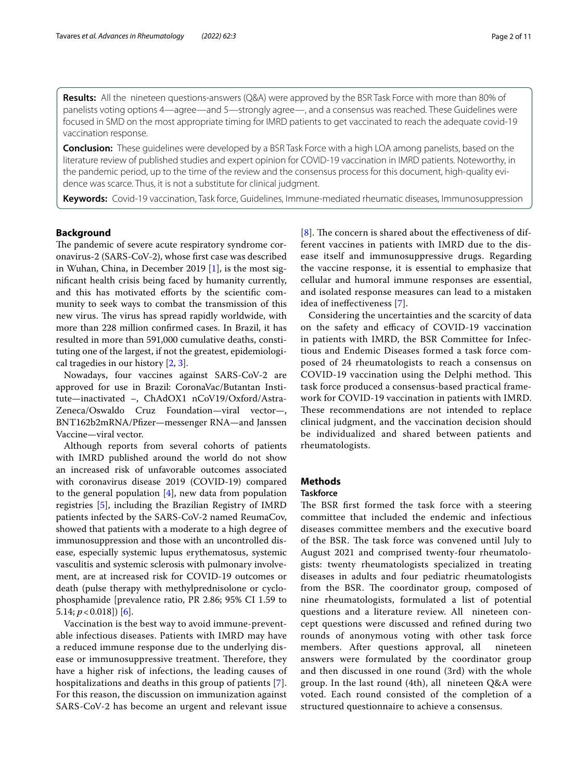**Results:** All the nineteen questions-answers (Q&A) were approved by the BSR Task Force with more than 80% of panelists voting options 4—agree—and 5—strongly agree—, and a consensus was reached. These Guidelines were focused in SMD on the most appropriate timing for IMRD patients to get vaccinated to reach the adequate covid-19 vaccination response.

**Conclusion:** These guidelines were developed by a BSR Task Force with a high LOA among panelists, based on the literature review of published studies and expert opinion for COVID-19 vaccination in IMRD patients. Noteworthy, in the pandemic period, up to the time of the review and the consensus process for this document, high-quality evidence was scarce. Thus, it is not a substitute for clinical judgment.

**Keywords:** Covid-19 vaccination, Task force, Guidelines, Immune-mediated rheumatic diseases, Immunosuppression

#### **Background**

The pandemic of severe acute respiratory syndrome coronavirus-2 (SARS-CoV-2), whose frst case was described in Wuhan, China, in December 2019 [\[1](#page-9-0)], is the most signifcant health crisis being faced by humanity currently, and this has motivated efforts by the scientific community to seek ways to combat the transmission of this new virus. The virus has spread rapidly worldwide, with more than 228 million confrmed cases. In Brazil, it has resulted in more than 591,000 cumulative deaths, constituting one of the largest, if not the greatest, epidemiological tragedies in our history [\[2,](#page-9-1) [3](#page-9-2)].

Nowadays, four vaccines against SARS-CoV-2 are approved for use in Brazil: CoronaVac/Butantan Institute—inactivated –, ChAdOX1 nCoV19/Oxford/Astra-Zeneca/Oswaldo Cruz Foundation—viral vector—, BNT162b2mRNA/Pfzer—messenger RNA—and Janssen Vaccine—viral vector.

Although reports from several cohorts of patients with IMRD published around the world do not show an increased risk of unfavorable outcomes associated with coronavirus disease 2019 (COVID-19) compared to the general population  $[4]$  $[4]$ , new data from population registries [\[5](#page-9-4)], including the Brazilian Registry of IMRD patients infected by the SARS-CoV-2 named ReumaCov, showed that patients with a moderate to a high degree of immunosuppression and those with an uncontrolled disease, especially systemic lupus erythematosus, systemic vasculitis and systemic sclerosis with pulmonary involvement, are at increased risk for COVID-19 outcomes or death (pulse therapy with methylprednisolone or cyclophosphamide [prevalence ratio, PR 2.86; 95% CI 1.59 to 5.14;  $p < 0.018$ ]) [[6\]](#page-9-5).

Vaccination is the best way to avoid immune-preventable infectious diseases. Patients with IMRD may have a reduced immune response due to the underlying disease or immunosuppressive treatment. Therefore, they have a higher risk of infections, the leading causes of hospitalizations and deaths in this group of patients [[7\]](#page-9-6). For this reason, the discussion on immunization against SARS-CoV-2 has become an urgent and relevant issue  $[8]$  $[8]$  $[8]$ . The concern is shared about the effectiveness of different vaccines in patients with IMRD due to the disease itself and immunosuppressive drugs. Regarding the vaccine response, it is essential to emphasize that cellular and humoral immune responses are essential, and isolated response measures can lead to a mistaken idea of inefectiveness [[7\]](#page-9-6).

Considering the uncertainties and the scarcity of data on the safety and efficacy of COVID-19 vaccination in patients with IMRD, the BSR Committee for Infectious and Endemic Diseases formed a task force composed of 24 rheumatologists to reach a consensus on COVID-19 vaccination using the Delphi method. This task force produced a consensus-based practical framework for COVID-19 vaccination in patients with IMRD. These recommendations are not intended to replace clinical judgment, and the vaccination decision should be individualized and shared between patients and rheumatologists.

## **Methods**

#### **Taskforce**

The BSR first formed the task force with a steering committee that included the endemic and infectious diseases committee members and the executive board of the BSR. The task force was convened until July to August 2021 and comprised twenty-four rheumatologists: twenty rheumatologists specialized in treating diseases in adults and four pediatric rheumatologists from the BSR. The coordinator group, composed of nine rheumatologists, formulated a list of potential questions and a literature review. All nineteen concept questions were discussed and refned during two rounds of anonymous voting with other task force members. After questions approval, all nineteen answers were formulated by the coordinator group and then discussed in one round (3rd) with the whole group. In the last round (4th), all nineteen Q&A were voted. Each round consisted of the completion of a structured questionnaire to achieve a consensus.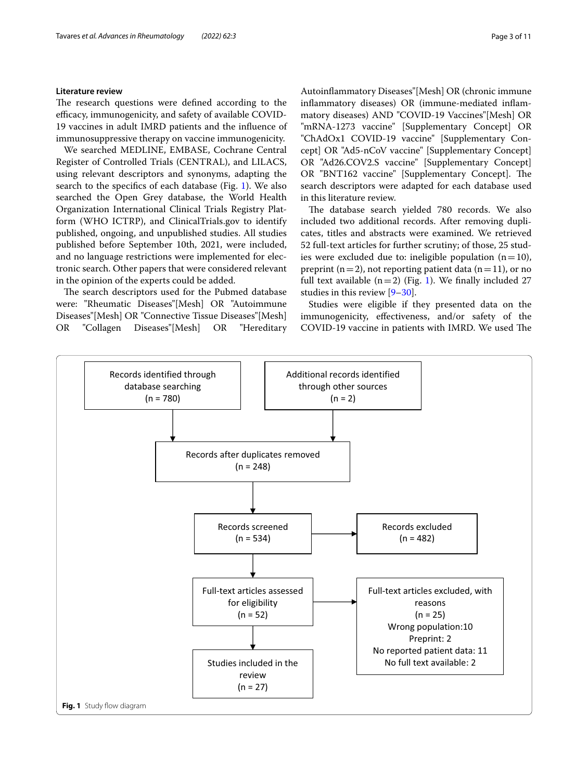### **Literature review**

The research questions were defined according to the efficacy, immunogenicity, and safety of available COVID-19 vaccines in adult IMRD patients and the infuence of immunosuppressive therapy on vaccine immunogenicity.

We searched MEDLINE, EMBASE, Cochrane Central Register of Controlled Trials (CENTRAL), and LILACS, using relevant descriptors and synonyms, adapting the search to the specifcs of each database (Fig. [1](#page-2-0)). We also searched the Open Grey database, the World Health Organization International Clinical Trials Registry Platform (WHO ICTRP), and ClinicalTrials.gov to identify published, ongoing, and unpublished studies. All studies published before September 10th, 2021, were included, and no language restrictions were implemented for electronic search. Other papers that were considered relevant in the opinion of the experts could be added.

The search descriptors used for the Pubmed database were: "Rheumatic Diseases"[Mesh] OR "Autoimmune Diseases"[Mesh] OR "Connective Tissue Diseases"[Mesh] OR "Collagen Diseases"[Mesh] OR "Hereditary Autoinfammatory Diseases"[Mesh] OR (chronic immune infammatory diseases) OR (immune-mediated infammatory diseases) AND "COVID-19 Vaccines"[Mesh] OR "mRNA-1273 vaccine" [Supplementary Concept] OR "ChAdOx1 COVID-19 vaccine" [Supplementary Concept] OR "Ad5-nCoV vaccine" [Supplementary Concept] OR "Ad26.COV2.S vaccine" [Supplementary Concept] OR "BNT162 vaccine" [Supplementary Concept]. The search descriptors were adapted for each database used in this literature review.

The database search yielded 780 records. We also included two additional records. After removing duplicates, titles and abstracts were examined. We retrieved 52 full-text articles for further scrutiny; of those, 25 studies were excluded due to: ineligible population  $(n=10)$ , preprint ( $n=2$ ), not reporting patient data ( $n=11$ ), or no full text available  $(n=2)$  (Fig. [1\)](#page-2-0). We finally included 27 studies in this review [\[9–](#page-9-8)[30\]](#page-9-9).

Studies were eligible if they presented data on the immunogenicity, efectiveness, and/or safety of the COVID-19 vaccine in patients with IMRD. We used The

<span id="page-2-0"></span>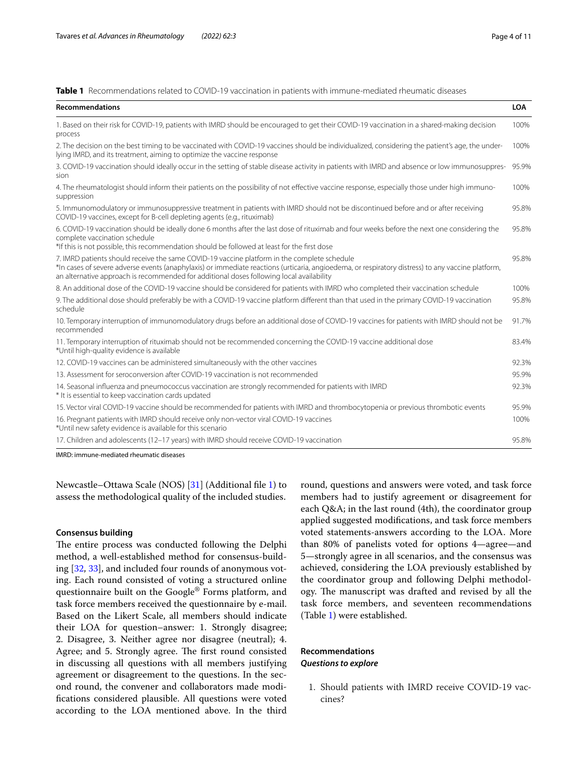<span id="page-3-0"></span>**Table 1** Recommendations related to COVID-19 vaccination in patients with immune-mediated rheumatic diseases

| <b>Recommendations</b>                                                                                                                                                                                                                                                                                                                       | <b>LOA</b> |
|----------------------------------------------------------------------------------------------------------------------------------------------------------------------------------------------------------------------------------------------------------------------------------------------------------------------------------------------|------------|
| 1. Based on their risk for COVID-19, patients with IMRD should be encouraged to get their COVID-19 vaccination in a shared-making decision<br>process                                                                                                                                                                                        | 100%       |
| 2. The decision on the best timing to be vaccinated with COVID-19 vaccines should be individualized, considering the patient's age, the under-<br>lying IMRD, and its treatment, aiming to optimize the vaccine response                                                                                                                     | 100%       |
| 3. COVID-19 vaccination should ideally occur in the setting of stable disease activity in patients with IMRD and absence or low immunosuppres-<br>sion                                                                                                                                                                                       | 95.9%      |
| 4. The rheumatologist should inform their patients on the possibility of not effective vaccine response, especially those under high immuno-<br>suppression                                                                                                                                                                                  | 100%       |
| 5. Immunomodulatory or immunosuppressive treatment in patients with IMRD should not be discontinued before and or after receiving<br>COVID-19 vaccines, except for B-cell depleting agents (e.g., rituximab)                                                                                                                                 | 95.8%      |
| 6. COVID-19 vaccination should be ideally done 6 months after the last dose of rituximab and four weeks before the next one considering the<br>complete vaccination schedule<br>*If this is not possible, this recommendation should be followed at least for the first dose                                                                 | 95.8%      |
| 7. IMRD patients should receive the same COVID-19 vaccine platform in the complete schedule<br>*In cases of severe adverse events (anaphylaxis) or immediate reactions (urticaria, angioedema, or respiratory distress) to any vaccine platform,<br>an alternative approach is recommended for additional doses following local availability | 95.8%      |
| 8. An additional dose of the COVID-19 vaccine should be considered for patients with IMRD who completed their vaccination schedule                                                                                                                                                                                                           | 100%       |
| 9. The additional dose should preferably be with a COVID-19 vaccine platform different than that used in the primary COVID-19 vaccination<br>schedule                                                                                                                                                                                        | 95.8%      |
| 10. Temporary interruption of immunomodulatory drugs before an additional dose of COVID-19 vaccines for patients with IMRD should not be<br>recommended                                                                                                                                                                                      | 91.7%      |
| 11. Temporary interruption of rituximab should not be recommended concerning the COVID-19 vaccine additional dose<br>*Until high-quality evidence is available                                                                                                                                                                               | 83.4%      |
| 12. COVID-19 vaccines can be administered simultaneously with the other vaccines                                                                                                                                                                                                                                                             | 92.3%      |
| 13. Assessment for seroconversion after COVID-19 vaccination is not recommended                                                                                                                                                                                                                                                              | 95.9%      |
| 14. Seasonal influenza and pneumococcus vaccination are strongly recommended for patients with IMRD<br>* It is essential to keep vaccination cards updated                                                                                                                                                                                   | 92.3%      |
| 15. Vector viral COVID-19 vaccine should be recommended for patients with IMRD and thrombocytopenia or previous thrombotic events                                                                                                                                                                                                            | 95.9%      |
| 16. Pregnant patients with IMRD should receive only non-vector viral COVID-19 vaccines<br>*Until new safety evidence is available for this scenario                                                                                                                                                                                          | 100%       |
| 17. Children and adolescents (12-17 years) with IMRD should receive COVID-19 vaccination                                                                                                                                                                                                                                                     | 95.8%      |
|                                                                                                                                                                                                                                                                                                                                              |            |

IMRD: immune-mediated rheumatic diseases

Newcastle–Ottawa Scale (NOS) [[31\]](#page-9-10) (Additional fle [1\)](#page-8-0) to assess the methodological quality of the included studies.

#### **Consensus building**

The entire process was conducted following the Delphi method, a well-established method for consensus-building [\[32,](#page-9-11) [33\]](#page-9-12), and included four rounds of anonymous voting. Each round consisted of voting a structured online questionnaire built on the Google® Forms platform, and task force members received the questionnaire by e-mail. Based on the Likert Scale, all members should indicate their LOA for question–answer: 1. Strongly disagree; 2. Disagree, 3. Neither agree nor disagree (neutral); 4. Agree; and 5. Strongly agree. The first round consisted in discussing all questions with all members justifying agreement or disagreement to the questions. In the second round, the convener and collaborators made modifcations considered plausible. All questions were voted according to the LOA mentioned above. In the third round, questions and answers were voted, and task force members had to justify agreement or disagreement for each Q&A; in the last round (4th), the coordinator group applied suggested modifcations, and task force members voted statements-answers according to the LOA. More than 80% of panelists voted for options 4—agree—and 5—strongly agree in all scenarios, and the consensus was achieved, considering the LOA previously established by the coordinator group and following Delphi methodology. The manuscript was drafted and revised by all the task force members, and seventeen recommendations (Table [1\)](#page-3-0) were established.

# **Recommendations** *Questions to explore*

1. Should patients with IMRD receive COVID-19 vaccines?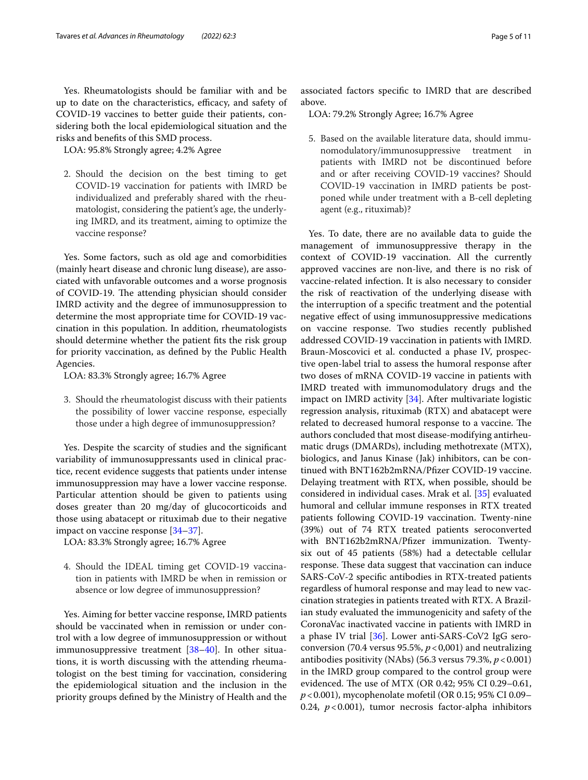Yes. Rheumatologists should be familiar with and be up to date on the characteristics, efficacy, and safety of COVID-19 vaccines to better guide their patients, considering both the local epidemiological situation and the risks and benefts of this SMD process.

LOA: 95.8% Strongly agree; 4.2% Agree

2. Should the decision on the best timing to get COVID-19 vaccination for patients with IMRD be individualized and preferably shared with the rheumatologist, considering the patient's age, the underlying IMRD, and its treatment, aiming to optimize the vaccine response?

Yes. Some factors, such as old age and comorbidities (mainly heart disease and chronic lung disease), are associated with unfavorable outcomes and a worse prognosis of COVID-19. The attending physician should consider IMRD activity and the degree of immunosuppression to determine the most appropriate time for COVID-19 vaccination in this population. In addition, rheumatologists should determine whether the patient fts the risk group for priority vaccination, as defned by the Public Health Agencies.

LOA: 83.3% Strongly agree; 16.7% Agree

3. Should the rheumatologist discuss with their patients the possibility of lower vaccine response, especially those under a high degree of immunosuppression?

Yes. Despite the scarcity of studies and the signifcant variability of immunosuppressants used in clinical practice, recent evidence suggests that patients under intense immunosuppression may have a lower vaccine response. Particular attention should be given to patients using doses greater than 20 mg/day of glucocorticoids and those using abatacept or rituximab due to their negative impact on vaccine response [[34–](#page-10-0)[37](#page-10-1)].

LOA: 83.3% Strongly agree; 16.7% Agree

4. Should the IDEAL timing get COVID-19 vaccination in patients with IMRD be when in remission or absence or low degree of immunosuppression?

Yes. Aiming for better vaccine response, IMRD patients should be vaccinated when in remission or under control with a low degree of immunosuppression or without immunosuppressive treatment [[38–](#page-10-2)[40](#page-10-3)]. In other situations, it is worth discussing with the attending rheumatologist on the best timing for vaccination, considering the epidemiological situation and the inclusion in the priority groups defned by the Ministry of Health and the

associated factors specifc to IMRD that are described above.

LOA: 79.2% Strongly Agree; 16.7% Agree

5. Based on the available literature data, should immunomodulatory/immunosuppressive treatment in patients with IMRD not be discontinued before and or after receiving COVID-19 vaccines? Should COVID-19 vaccination in IMRD patients be postponed while under treatment with a B-cell depleting agent (e.g., rituximab)?

Yes. To date, there are no available data to guide the management of immunosuppressive therapy in the context of COVID-19 vaccination. All the currently approved vaccines are non-live, and there is no risk of vaccine-related infection. It is also necessary to consider the risk of reactivation of the underlying disease with the interruption of a specifc treatment and the potential negative efect of using immunosuppressive medications on vaccine response. Two studies recently published addressed COVID-19 vaccination in patients with IMRD. Braun-Moscovici et al. conducted a phase IV, prospective open-label trial to assess the humoral response after two doses of mRNA COVID-19 vaccine in patients with IMRD treated with immunomodulatory drugs and the impact on IMRD activity [\[34](#page-10-0)]. After multivariate logistic regression analysis, rituximab (RTX) and abatacept were related to decreased humoral response to a vaccine. The authors concluded that most disease-modifying antirheumatic drugs (DMARDs), including methotrexate (MTX), biologics, and Janus Kinase (Jak) inhibitors, can be continued with BNT162b2mRNA/Pfzer COVID-19 vaccine. Delaying treatment with RTX, when possible, should be considered in individual cases. Mrak et al. [[35\]](#page-10-4) evaluated humoral and cellular immune responses in RTX treated patients following COVID-19 vaccination. Twenty-nine (39%) out of 74 RTX treated patients seroconverted with BNT162b2mRNA/Pfzer immunization. Twentysix out of 45 patients (58%) had a detectable cellular response. These data suggest that vaccination can induce SARS-CoV-2 specifc antibodies in RTX-treated patients regardless of humoral response and may lead to new vaccination strategies in patients treated with RTX. A Brazilian study evaluated the immunogenicity and safety of the CoronaVac inactivated vaccine in patients with IMRD in a phase IV trial [[36\]](#page-10-5). Lower anti-SARS-CoV2 IgG seroconversion (70.4 versus 95.5%,  $p < 0.001$ ) and neutralizing antibodies positivity (NAbs) (56.3 versus 79.3%,  $p < 0.001$ ) in the IMRD group compared to the control group were evidenced. The use of MTX (OR 0.42; 95% CI 0.29-0.61, *p*<0.001), mycophenolate mofetil (OR 0.15; 95% CI 0.09– 0.24, *p*<0.001), tumor necrosis factor-alpha inhibitors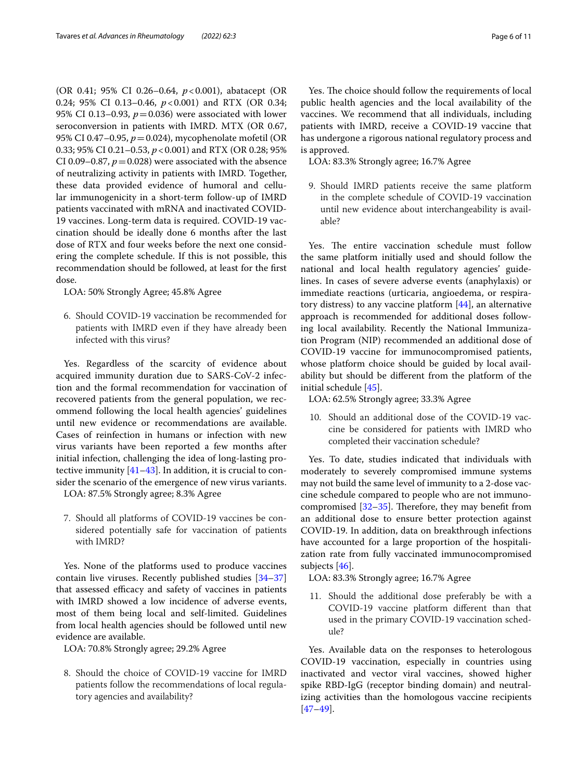(OR 0.41; 95% CI 0.26–0.64, *p*<0.001), abatacept (OR 0.24; 95% CI 0.13–0.46, *p*<0.001) and RTX (OR 0.34; 95% CI 0.13–0.93,  $p = 0.036$ ) were associated with lower seroconversion in patients with IMRD. MTX (OR 0.67, 95% CI 0.47–0.95, *p*=0.024), mycophenolate mofetil (OR 0.33; 95% CI 0.21–0.53, *p*<0.001) and RTX (OR 0.28; 95% CI 0.09–0.87,  $p = 0.028$ ) were associated with the absence of neutralizing activity in patients with IMRD. Together, these data provided evidence of humoral and cellular immunogenicity in a short-term follow-up of IMRD patients vaccinated with mRNA and inactivated COVID-19 vaccines. Long-term data is required. COVID-19 vaccination should be ideally done 6 months after the last dose of RTX and four weeks before the next one considering the complete schedule. If this is not possible, this recommendation should be followed, at least for the frst dose.

LOA: 50% Strongly Agree; 45.8% Agree

6. Should COVID-19 vaccination be recommended for patients with IMRD even if they have already been infected with this virus?

Yes. Regardless of the scarcity of evidence about acquired immunity duration due to SARS-CoV-2 infection and the formal recommendation for vaccination of recovered patients from the general population, we recommend following the local health agencies' guidelines until new evidence or recommendations are available. Cases of reinfection in humans or infection with new virus variants have been reported a few months after initial infection, challenging the idea of long-lasting protective immunity [[41–](#page-10-6)[43](#page-10-7)]. In addition, it is crucial to consider the scenario of the emergence of new virus variants.

LOA: 87.5% Strongly agree; 8.3% Agree

7. Should all platforms of COVID-19 vaccines be considered potentially safe for vaccination of patients with IMRD?

Yes. None of the platforms used to produce vaccines contain live viruses. Recently published studies [[34–](#page-10-0)[37](#page-10-1)] that assessed efficacy and safety of vaccines in patients with IMRD showed a low incidence of adverse events, most of them being local and self-limited. Guidelines from local health agencies should be followed until new evidence are available.

LOA: 70.8% Strongly agree; 29.2% Agree

8. Should the choice of COVID-19 vaccine for IMRD patients follow the recommendations of local regulatory agencies and availability?

Yes. The choice should follow the requirements of local public health agencies and the local availability of the vaccines. We recommend that all individuals, including patients with IMRD, receive a COVID-19 vaccine that has undergone a rigorous national regulatory process and is approved.

LOA: 83.3% Strongly agree; 16.7% Agree

9. Should IMRD patients receive the same platform in the complete schedule of COVID-19 vaccination until new evidence about interchangeability is available?

Yes. The entire vaccination schedule must follow the same platform initially used and should follow the national and local health regulatory agencies' guidelines. In cases of severe adverse events (anaphylaxis) or immediate reactions (urticaria, angioedema, or respiratory distress) to any vaccine platform [[44](#page-10-8)], an alternative approach is recommended for additional doses following local availability. Recently the National Immunization Program (NIP) recommended an additional dose of COVID-19 vaccine for immunocompromised patients, whose platform choice should be guided by local availability but should be diferent from the platform of the initial schedule [\[45\]](#page-10-9).

LOA: 62.5% Strongly agree; 33.3% Agree

10. Should an additional dose of the COVID-19 vaccine be considered for patients with IMRD who completed their vaccination schedule?

Yes. To date, studies indicated that individuals with moderately to severely compromised immune systems may not build the same level of immunity to a 2-dose vaccine schedule compared to people who are not immunocompromised  $[32-35]$  $[32-35]$ . Therefore, they may benefit from an additional dose to ensure better protection against COVID-19. In addition, data on breakthrough infections have accounted for a large proportion of the hospitalization rate from fully vaccinated immunocompromised subjects [\[46](#page-10-10)].

LOA: 83.3% Strongly agree; 16.7% Agree

11. Should the additional dose preferably be with a COVID-19 vaccine platform diferent than that used in the primary COVID-19 vaccination schedule?

Yes. Available data on the responses to heterologous COVID-19 vaccination, especially in countries using inactivated and vector viral vaccines, showed higher spike RBD-IgG (receptor binding domain) and neutralizing activities than the homologous vaccine recipients [[47–](#page-10-11)[49\]](#page-10-12).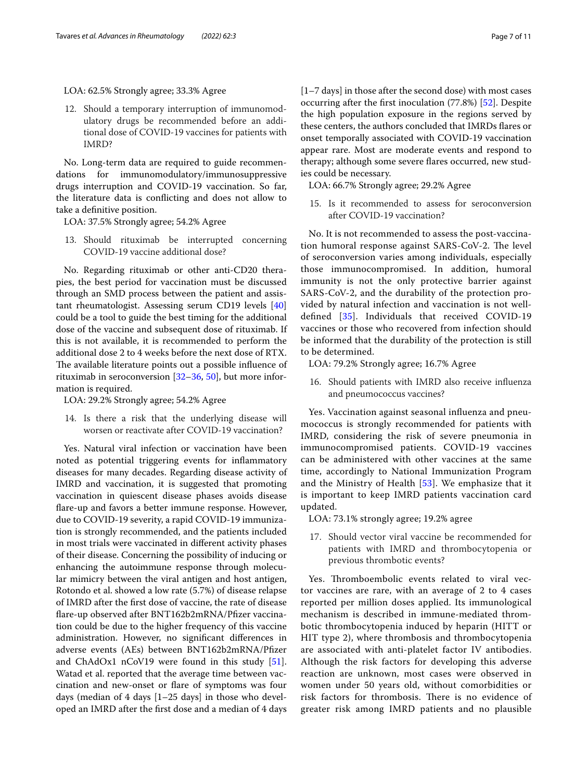## LOA: 62.5% Strongly agree; 33.3% Agree

12. Should a temporary interruption of immunomodulatory drugs be recommended before an additional dose of COVID-19 vaccines for patients with IMRD?

No. Long-term data are required to guide recommendations for immunomodulatory/immunosuppressive drugs interruption and COVID-19 vaccination. So far, the literature data is conficting and does not allow to take a defnitive position.

LOA: 37.5% Strongly agree; 54.2% Agree

13. Should rituximab be interrupted concerning COVID-19 vaccine additional dose?

No. Regarding rituximab or other anti-CD20 therapies, the best period for vaccination must be discussed through an SMD process between the patient and assistant rheumatologist. Assessing serum CD19 levels [[40](#page-10-3)] could be a tool to guide the best timing for the additional dose of the vaccine and subsequent dose of rituximab. If this is not available, it is recommended to perform the additional dose 2 to 4 weeks before the next dose of RTX. The available literature points out a possible influence of rituximab in seroconversion [\[32](#page-9-11)[–36,](#page-10-5) [50\]](#page-10-13), but more information is required.

LOA: 29.2% Strongly agree; 54.2% Agree

14. Is there a risk that the underlying disease will worsen or reactivate after COVID-19 vaccination?

Yes. Natural viral infection or vaccination have been noted as potential triggering events for infammatory diseases for many decades. Regarding disease activity of IMRD and vaccination, it is suggested that promoting vaccination in quiescent disease phases avoids disease fare-up and favors a better immune response. However, due to COVID-19 severity, a rapid COVID-19 immunization is strongly recommended, and the patients included in most trials were vaccinated in diferent activity phases of their disease. Concerning the possibility of inducing or enhancing the autoimmune response through molecular mimicry between the viral antigen and host antigen, Rotondo et al. showed a low rate (5.7%) of disease relapse of IMRD after the frst dose of vaccine, the rate of disease flare-up observed after BNT162b2mRNA/Pfizer vaccination could be due to the higher frequency of this vaccine administration. However, no signifcant diferences in adverse events (AEs) between BNT162b2mRNA/Pfzer and ChAdOx1 nCoV19 were found in this study [\[51](#page-10-14)]. Watad et al. reported that the average time between vaccination and new-onset or fare of symptoms was four days (median of 4 days [1–25 days] in those who developed an IMRD after the frst dose and a median of 4 days [1–7 days] in those after the second dose) with most cases occurring after the frst inoculation (77.8%) [\[52](#page-10-15)]. Despite the high population exposure in the regions served by these centers, the authors concluded that IMRDs fares or onset temporally associated with COVID-19 vaccination appear rare. Most are moderate events and respond to therapy; although some severe fares occurred, new studies could be necessary.

LOA: 66.7% Strongly agree; 29.2% Agree

15. Is it recommended to assess for seroconversion after COVID-19 vaccination?

No. It is not recommended to assess the post-vaccination humoral response against SARS-CoV-2. The level of seroconversion varies among individuals, especially those immunocompromised. In addition, humoral immunity is not the only protective barrier against SARS-CoV-2, and the durability of the protection provided by natural infection and vaccination is not welldefned [[35](#page-10-4)]. Individuals that received COVID-19 vaccines or those who recovered from infection should be informed that the durability of the protection is still to be determined.

LOA: 79.2% Strongly agree; 16.7% Agree

16. Should patients with IMRD also receive infuenza and pneumococcus vaccines?

Yes. Vaccination against seasonal infuenza and pneumococcus is strongly recommended for patients with IMRD, considering the risk of severe pneumonia in immunocompromised patients. COVID-19 vaccines can be administered with other vaccines at the same time, accordingly to National Immunization Program and the Ministry of Health [[53\]](#page-10-16). We emphasize that it is important to keep IMRD patients vaccination card updated.

LOA: 73.1% strongly agree; 19.2% agree

17. Should vector viral vaccine be recommended for patients with IMRD and thrombocytopenia or previous thrombotic events?

Yes. Thromboembolic events related to viral vector vaccines are rare, with an average of 2 to 4 cases reported per million doses applied. Its immunological mechanism is described in immune-mediated thrombotic thrombocytopenia induced by heparin (HITT or HIT type 2), where thrombosis and thrombocytopenia are associated with anti-platelet factor IV antibodies. Although the risk factors for developing this adverse reaction are unknown, most cases were observed in women under 50 years old, without comorbidities or risk factors for thrombosis. There is no evidence of greater risk among IMRD patients and no plausible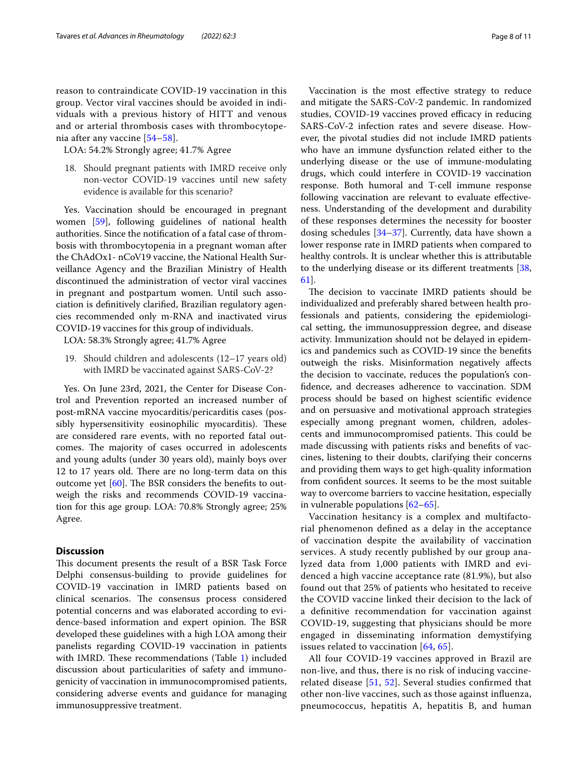reason to contraindicate COVID-19 vaccination in this group. Vector viral vaccines should be avoided in individuals with a previous history of HITT and venous and or arterial thrombosis cases with thrombocytopenia after any vaccine [[54–](#page-10-17)[58\]](#page-10-18).

LOA: 54.2% Strongly agree; 41.7% Agree

18. Should pregnant patients with IMRD receive only non-vector COVID-19 vaccines until new safety evidence is available for this scenario?

Yes. Vaccination should be encouraged in pregnant women [[59](#page-10-19)], following guidelines of national health authorities. Since the notifcation of a fatal case of thrombosis with thrombocytopenia in a pregnant woman after the ChAdOx1- nCoV19 vaccine, the National Health Surveillance Agency and the Brazilian Ministry of Health discontinued the administration of vector viral vaccines in pregnant and postpartum women. Until such association is defnitively clarifed, Brazilian regulatory agencies recommended only m-RNA and inactivated virus COVID-19 vaccines for this group of individuals.

LOA: 58.3% Strongly agree; 41.7% Agree

19. Should children and adolescents (12–17 years old) with IMRD be vaccinated against SARS-CoV-2?

Yes. On June 23rd, 2021, the Center for Disease Control and Prevention reported an increased number of post-mRNA vaccine myocarditis/pericarditis cases (possibly hypersensitivity eosinophilic myocarditis). These are considered rare events, with no reported fatal outcomes. The majority of cases occurred in adolescents and young adults (under 30 years old), mainly boys over 12 to 17 years old. There are no long-term data on this outcome yet  $[60]$  $[60]$ . The BSR considers the benefits to outweigh the risks and recommends COVID-19 vaccination for this age group. LOA: 70.8% Strongly agree; 25% Agree.

## **Discussion**

This document presents the result of a BSR Task Force Delphi consensus-building to provide guidelines for COVID-19 vaccination in IMRD patients based on clinical scenarios. The consensus process considered potential concerns and was elaborated according to evidence-based information and expert opinion. The BSR developed these guidelines with a high LOA among their panelists regarding COVID-19 vaccination in patients with IMRD. These recommendations (Table  $1$ ) included discussion about particularities of safety and immunogenicity of vaccination in immunocompromised patients, considering adverse events and guidance for managing immunosuppressive treatment.

Vaccination is the most efective strategy to reduce and mitigate the SARS-CoV-2 pandemic. In randomized studies, COVID-19 vaccines proved efficacy in reducing SARS-CoV-2 infection rates and severe disease. However, the pivotal studies did not include IMRD patients who have an immune dysfunction related either to the underlying disease or the use of immune-modulating drugs, which could interfere in COVID-19 vaccination response. Both humoral and T-cell immune response following vaccination are relevant to evaluate effectiveness. Understanding of the development and durability of these responses determines the necessity for booster dosing schedules  $[34-37]$  $[34-37]$  $[34-37]$ . Currently, data have shown a lower response rate in IMRD patients when compared to healthy controls. It is unclear whether this is attributable to the underlying disease or its diferent treatments [[38](#page-10-2), [61\]](#page-10-21).

The decision to vaccinate IMRD patients should be individualized and preferably shared between health professionals and patients, considering the epidemiological setting, the immunosuppression degree, and disease activity. Immunization should not be delayed in epidemics and pandemics such as COVID-19 since the benefts outweigh the risks. Misinformation negatively afects the decision to vaccinate, reduces the population's confdence, and decreases adherence to vaccination. SDM process should be based on highest scientifc evidence and on persuasive and motivational approach strategies especially among pregnant women, children, adolescents and immunocompromised patients. This could be made discussing with patients risks and benefts of vaccines, listening to their doubts, clarifying their concerns and providing them ways to get high-quality information from confdent sources. It seems to be the most suitable way to overcome barriers to vaccine hesitation, especially in vulnerable populations [\[62–](#page-10-22)[65\]](#page-10-23).

Vaccination hesitancy is a complex and multifactorial phenomenon defned as a delay in the acceptance of vaccination despite the availability of vaccination services. A study recently published by our group analyzed data from 1,000 patients with IMRD and evidenced a high vaccine acceptance rate (81.9%), but also found out that 25% of patients who hesitated to receive the COVID vaccine linked their decision to the lack of a defnitive recommendation for vaccination against COVID-19, suggesting that physicians should be more engaged in disseminating information demystifying issues related to vaccination [[64,](#page-10-24) [65\]](#page-10-23).

All four COVID-19 vaccines approved in Brazil are non-live, and thus, there is no risk of inducing vaccinerelated disease [[51](#page-10-14), [52\]](#page-10-15). Several studies confrmed that other non-live vaccines, such as those against infuenza, pneumococcus, hepatitis A, hepatitis B, and human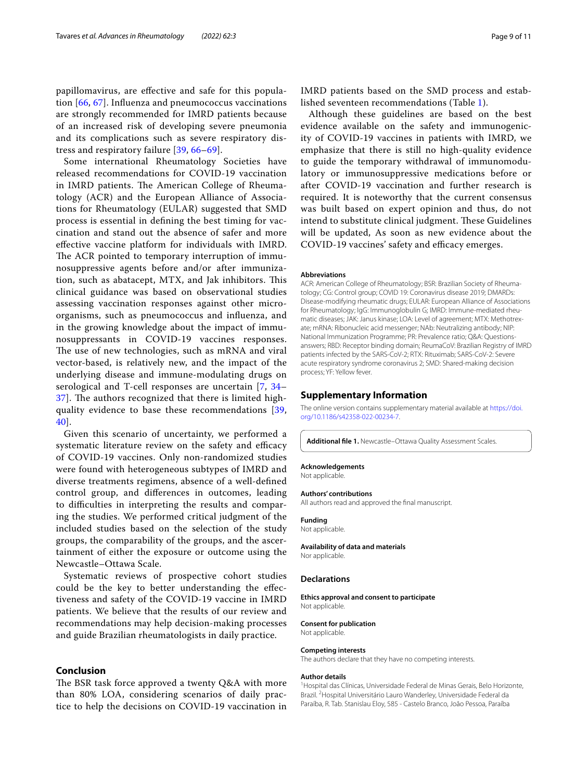papillomavirus, are efective and safe for this population [\[66,](#page-10-25) [67](#page-10-26)]. Infuenza and pneumococcus vaccinations are strongly recommended for IMRD patients because of an increased risk of developing severe pneumonia and its complications such as severe respiratory distress and respiratory failure [[39,](#page-10-27) [66–](#page-10-25)[69\]](#page-10-28).

Some international Rheumatology Societies have released recommendations for COVID-19 vaccination in IMRD patients. The American College of Rheumatology (ACR) and the European Alliance of Associations for Rheumatology (EULAR) suggested that SMD process is essential in defning the best timing for vaccination and stand out the absence of safer and more efective vaccine platform for individuals with IMRD. The ACR pointed to temporary interruption of immunosuppressive agents before and/or after immunization, such as abatacept, MTX, and Jak inhibitors. This clinical guidance was based on observational studies assessing vaccination responses against other microorganisms, such as pneumococcus and infuenza, and in the growing knowledge about the impact of immunosuppressants in COVID-19 vaccines responses. The use of new technologies, such as mRNA and viral vector-based, is relatively new, and the impact of the underlying disease and immune-modulating drugs on serological and T-cell responses are uncertain [\[7](#page-9-6), [34–](#page-10-0)  $37$ ]. The authors recognized that there is limited highquality evidence to base these recommendations [\[39](#page-10-27), [40\]](#page-10-3).

Given this scenario of uncertainty, we performed a systematic literature review on the safety and efficacy of COVID-19 vaccines. Only non-randomized studies were found with heterogeneous subtypes of IMRD and diverse treatments regimens, absence of a well-defned control group, and diferences in outcomes, leading to difficulties in interpreting the results and comparing the studies. We performed critical judgment of the included studies based on the selection of the study groups, the comparability of the groups, and the ascertainment of either the exposure or outcome using the Newcastle–Ottawa Scale.

Systematic reviews of prospective cohort studies could be the key to better understanding the efectiveness and safety of the COVID-19 vaccine in IMRD patients. We believe that the results of our review and recommendations may help decision-making processes and guide Brazilian rheumatologists in daily practice.

#### **Conclusion**

The BSR task force approved a twenty Q&A with more than 80% LOA, considering scenarios of daily practice to help the decisions on COVID-19 vaccination in IMRD patients based on the SMD process and established seventeen recommendations (Table [1](#page-3-0)).

Although these guidelines are based on the best evidence available on the safety and immunogenicity of COVID-19 vaccines in patients with IMRD, we emphasize that there is still no high-quality evidence to guide the temporary withdrawal of immunomodulatory or immunosuppressive medications before or after COVID-19 vaccination and further research is required. It is noteworthy that the current consensus was built based on expert opinion and thus, do not intend to substitute clinical judgment. These Guidelines will be updated, As soon as new evidence about the COVID-19 vaccines' safety and efficacy emerges.

#### **Abbreviations**

ACR: American College of Rheumatology; BSR: Brazilian Society of Rheumatology; CG: Control group; COVID 19: Coronavirus disease 2019; DMARDs: Disease-modifying rheumatic drugs; EULAR: European Alliance of Associations for Rheumatology; IgG: Immunoglobulin G; IMRD: Immune-mediated rheumatic diseases; JAK: Janus kinase; LOA: Level of agreement; MTX: Methotrexate; mRNA: Ribonucleic acid messenger; NAb: Neutralizing antibody; NIP: National Immunization Programme; PR: Prevalence ratio; Q&A: Questionsanswers; RBD: Receptor binding domain; ReumaCoV: Brazilian Registry of IMRD patients infected by the SARS-CoV-2; RTX: Rituximab; SARS-CoV-2: Severe acute respiratory syndrome coronavirus 2; SMD: Shared-making decision process; YF: Yellow fever.

#### **Supplementary Information**

The online version contains supplementary material available at [https://doi.](https://doi.org/10.1186/s42358-022-00234-7) [org/10.1186/s42358-022-00234-7](https://doi.org/10.1186/s42358-022-00234-7).

<span id="page-8-0"></span>**Additional fle 1.** Newcastle–Ottawa Quality Assessment Scales.

#### **Acknowledgements**

Not applicable.

#### **Authors' contributions**

All authors read and approved the fnal manuscript.

**Funding**

Not applicable.

# **Availability of data and materials**

Nor applicable.

#### **Declarations**

**Ethics approval and consent to participate** Not applicable.

#### **Consent for publication**

Not applicable.

# **Competing interests**

The authors declare that they have no competing interests.

#### **Author details**

<sup>1</sup> Hospital das Clínicas, Universidade Federal de Minas Gerais, Belo Horizonte, Brazil. <sup>2</sup> Hospital Universitário Lauro Wanderley, Universidade Federal da Paraíba, R. Tab. Stanislau Eloy, 585 - Castelo Branco, João Pessoa, Paraíba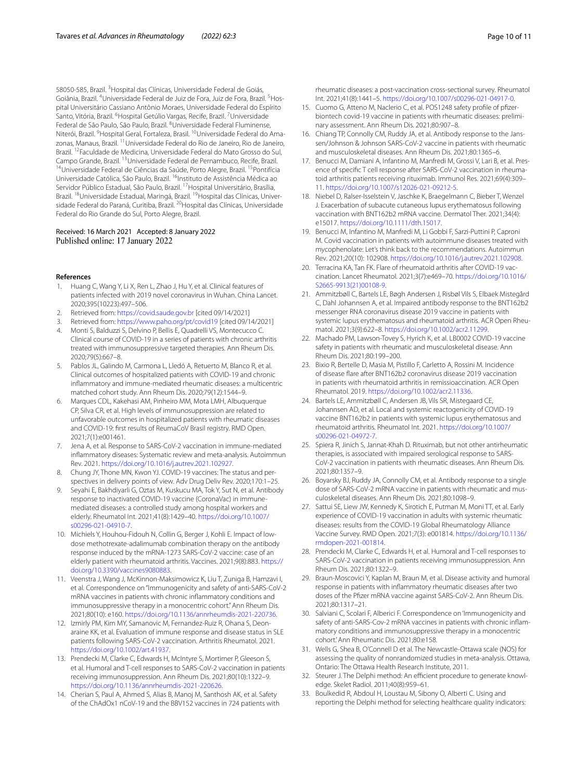58050-585, Brazil. <sup>3</sup> Hospital das Clínicas, Universidade Federal de Goiás, Goiânia, Brazil. <sup>4</sup>Universidade Federal de Juiz de Fora, Juiz de Fora, Brazil. <sup>5</sup>Hospital Universitário Cassiano Antônio Moraes, Universidade Federal do Espírito Santo, Vitória, Brazil. <sup>6</sup>Hospital Getúlio Vargas, Recife, Brazil. <sup>7</sup>Universidade Federal de São Paulo, São Paulo, Brazil. <sup>8</sup>Universidade Federal Fluminense, Niterói, Brazil. <sup>9</sup>Hospital Geral, Fortaleza, Brasil. <sup>10</sup>Universidade Federal do Amazonas, Manaus, Brazil. 11Universidade Federal do Rio de Janeiro, Rio de Janeiro, Brazil. 12Faculdade de Medicina, Universidade Federal do Mato Grosso do Sul, Campo Grande, Brazil. <sup>13</sup>Universidade Federal de Pernambuco, Recife, Brazil.<br><sup>14</sup>Universidade Federal de Ciências da Saúde, Porto Alegre, Brazil. <sup>15</sup>Pontifícia Universidade Católica, São Paulo, Brazil. 16Instituto de Assistência Médica ao Servidor Público Estadual, São Paulo, Brazil. 17Hospital Universitário, Brasília, Brazil. <sup>18</sup>Universidade Estadual, Maringá, Brazil. <sup>19</sup>Hospital das Clínicas, Universidade Federal do Paraná, Curitiba, Brazil. 20Hospital das Clínicas, Universidade Federal do Rio Grande do Sul, Porto Alegre, Brazil.

#### Received: 16 March 2021 Accepted: 8 January 2022 Published online: 17 January 2022

#### **References**

- <span id="page-9-0"></span>1. Huang C, Wang Y, Li X, Ren L, Zhao J, Hu Y, et al. Clinical features of patients infected with 2019 novel coronavirus in Wuhan. China Lancet. 2020;395(10223):497–506.
- <span id="page-9-1"></span>2. Retrieved from: <https://covid.saude.gov.br>[cited 09/14/2021]
- <span id="page-9-2"></span>3. Retrieved from: <https://www.paho.org/pt/covid19>[cited 09/14/2021]
- <span id="page-9-3"></span>4. Monti S, Balduzzi S, Delvino P, Bellis E, Quadrelli VS, Montecucco C. Clinical course of COVID-19 in a series of patients with chronic arthritis treated with immunosuppressive targeted therapies. Ann Rheum Dis. 2020;79(5):667–8.
- <span id="page-9-4"></span>5. Pablos JL, Galindo M, Carmona L, Lledó A, Retuerto M, Blanco R, et al. Clinical outcomes of hospitalized patients with COVID-19 and chronic infammatory and immune-mediated rheumatic diseases: a multicentric matched cohort study. Ann Rheum Dis. 2020;79(12):1544–9.
- <span id="page-9-5"></span>6. Marques CDL, Kakehasi AM, Pinheiro MM, Mota LMH, Albuquerque CP, Silva CR, et al. High levels of immunosuppression are related to unfavorable outcomes in hospitalized patients with rheumatic diseases and COVID-19: frst results of ReumaCoV Brasil registry. RMD Open. 2021;7(1):e001461.
- <span id="page-9-6"></span>7. Jena A, et al. Response to SARS-CoV-2 vaccination in immune-mediated infammatory diseases: Systematic review and meta-analysis. Autoimmun Rev. 2021. <https://doi.org/10.1016/j.autrev.2021.102927>.
- <span id="page-9-7"></span>8. Chung JY, Thone MN, Kwon YJ. COVID-19 vaccines: The status and perspectives in delivery points of view. Adv Drug Deliv Rev. 2020;170:1–25.
- <span id="page-9-8"></span>9. Seyahi E, Bakhdiyarli G, Oztas M, Kuskucu MA, Tok Y, Sut N, et al. Antibody response to inactivated COVID-19 vaccine (CoronaVac) in immunemediated diseases: a controlled study among hospital workers and elderly. Rheumatol Int. 2021;41(8):1429–40. [https://doi.org/10.1007/](https://doi.org/10.1007/s00296-021-04910-7) [s00296-021-04910-7](https://doi.org/10.1007/s00296-021-04910-7).
- 10. Michiels Y, Houhou-Fidouh N, Collin G, Berger J, Kohli E. Impact of lowdose methotrexate-adalimumab combination therapy on the antibody response induced by the mRNA-1273 SARS-CoV-2 vaccine: case of an elderly patient with rheumatoid arthritis. Vaccines. 2021;9(8):883. [https://](https://doi.org/10.3390/vaccines9080883) [doi.org/10.3390/vaccines9080883.](https://doi.org/10.3390/vaccines9080883)
- 11. Veenstra J, Wang J, McKinnon-Maksimowicz K, Liu T, Zuniga B, Hamzavi I, et al. Correspondence on "Immunogenicity and safety of anti-SARS-CoV-2 mRNA vaccines in patients with chronic infammatory conditions and immunosuppressive therapy in a monocentric cohort." Ann Rheum Dis. 2021;80(10): e160. [https://doi.org/10.1136/annrheumdis-2021-220736.](https://doi.org/10.1136/annrheumdis-2021-220736)
- 12. Izmirly PM, Kim MY, Samanovic M, Fernandez-Ruiz R, Ohana S, Deonaraine KK, et al. Evaluation of immune response and disease status in SLE patients following SARS-CoV-2 vaccination. Arthritis Rheumatol. 2021. <https://doi.org/10.1002/art.41937>.
- 13. Prendecki M, Clarke C, Edwards H, McIntyre S, Mortimer P, Gleeson S, et al. Humoral and T-cell responses to SARS-CoV-2 vaccination in patients receiving immunosuppression. Ann Rheum Dis. 2021;80(10):1322–9. [https://doi.org/10.1136/annrheumdis-2021-220626.](https://doi.org/10.1136/annrheumdis-2021-220626)
- 14. Cherian S, Paul A, Ahmed S, Alias B, Manoj M, Santhosh AK, et al. Safety of the ChAdOx1 nCoV-19 and the BBV152 vaccines in 724 patients with
- Int. 2021;41(8):1441–5. <https://doi.org/10.1007/s00296-021-04917-0>. 15. Cuomo G, Atteno M, Naclerio C, et al. POS1248 safety profile of pfizerbiontech covid-19 vaccine in patients with rheumatic diseases: preliminary assessment. Ann Rheum Dis. 2021;80:907–8.
- 16. Chiang TP, Connolly CM, Ruddy JA, et al. Antibody response to the Janssen/Johnson & Johnson SARS-CoV-2 vaccine in patients with rheumatic and musculoskeletal diseases. Ann Rheum Dis. 2021;80:1365–6.
- 17. Benucci M, Damiani A, Infantino M, Manfredi M, Grossi V, Lari B, et al. Presence of specifc T cell response after SARS-CoV-2 vaccination in rheumatoid arthritis patients receiving rituximab. Immunol Res. 2021;69(4):309– 11. [https://doi.org/10.1007/s12026-021-09212-5.](https://doi.org/10.1007/s12026-021-09212-5)
- 18. Niebel D, Ralser-Isselstein V, Jaschke K, Braegelmann C, Bieber T, Wenzel J. Exacerbation of subacute cutaneous lupus erythematosus following vaccination with BNT162b2 mRNA vaccine. Dermatol Ther. 2021;34(4): e15017. <https://doi.org/10.1111/dth.15017>.
- 19. Benucci M, Infantino M, Manfredi M, Li Gobbi F, Sarzi-Puttini P, Caproni M. Covid vaccination in patients with autoimmune diseases treated with mycophenolate: Let's think back to the recommendations. Autoimmun Rev. 2021;20(10): 102908. <https://doi.org/10.1016/j.autrev.2021.102908>.
- 20. Terracina KA, Tan FK. Flare of rheumatoid arthritis after COVID-19 vaccination. Lancet Rheumatol. 2021;3(7):e469–70. [https://doi.org/10.1016/](https://doi.org/10.1016/S2665-9913(21)00108-9) [S2665-9913\(21\)00108-9](https://doi.org/10.1016/S2665-9913(21)00108-9).
- 21. Ammitzbøll C, Bartels LE, Bøgh Andersen J, Risbøl Vils S, Elbaek Mistegård C, Dahl Johannsen A, et al. Impaired antibody response to the BNT162b2 messenger RNA coronavirus disease 2019 vaccine in patients with systemic lupus erythematosus and rheumatoid arthritis. ACR Open Rheumatol. 2021;3(9):622–8. [https://doi.org/10.1002/acr2.11299.](https://doi.org/10.1002/acr2.11299)
- 22. Machado PM, Lawson-Tovey S, Hyrich K, et al. LB0002 COVID-19 vaccine safety in patients with rheumatic and musculoskeletal disease. Ann Rheum Dis. 2021;80:199–200.
- 23. Bixio R, Bertelle D, Masia M, Pistillo F, Carletto A, Rossini M. Incidence of disease fare after BNT162b2 coronavirus disease 2019 vaccination in patients with rheumatoid arthritis in remissioaccination. ACR Open Rheumatol. 2019.<https://doi.org/10.1002/acr2.11336>.
- 24. Bartels LE, Ammitzbøll C, Andersen JB, Vils SR, Mistegaard CE, Johannsen AD, et al. Local and systemic reactogenicity of COVID-19 vaccine BNT162b2 in patients with systemic lupus erythematosus and rheumatoid arthritis. Rheumatol Int. 2021. [https://doi.org/10.1007/](https://doi.org/10.1007/s00296-021-04972-7) [s00296-021-04972-7](https://doi.org/10.1007/s00296-021-04972-7).
- 25. Spiera R, Jinich S, Jannat-Khah D. Rituximab, but not other antirheumatic therapies, is associated with impaired serological response to SARS-CoV-2 vaccination in patients with rheumatic diseases. Ann Rheum Dis. 2021;80:1357–9.
- 26. Boyarsky BJ, Ruddy JA, Connolly CM, et al. Antibody response to a single dose of SARS-CoV-2 mRNA vaccine in patients with rheumatic and musculoskeletal diseases. Ann Rheum Dis. 2021;80:1098–9.
- 27. Sattui SE, Liew JW, Kennedy K, Sirotich E, Putman M, Moni TT, et al. Early experience of COVID-19 vaccination in adults with systemic rheumatic diseases: results from the COVID-19 Global Rheumatology Alliance Vaccine Survey. RMD Open. 2021;7(3): e001814. [https://doi.org/10.1136/](https://doi.org/10.1136/rmdopen-2021-001814) [rmdopen-2021-001814](https://doi.org/10.1136/rmdopen-2021-001814).
- 28. Prendecki M, Clarke C, Edwards H, et al. Humoral and T-cell responses to SARS-CoV-2 vaccination in patients receiving immunosuppression. Ann Rheum Dis. 2021;80:1322–9.
- 29. Braun-Moscovici Y, Kaplan M, Braun M, et al. Disease activity and humoral response in patients with infammatory rheumatic diseases after two doses of the Pfzer mRNA vaccine against SARS-CoV-2. Ann Rheum Dis. 2021;80:1317–21.
- <span id="page-9-9"></span>30. Salviani C, Scolari F, Alberici F. Correspondence on 'Immunogenicity and safety of anti-SARS-Cov-2 mRNA vaccines in patients with chronic infammatory conditions and immunosuppressive therapy in a monocentric cohort.' Ann Rheumatic Dis. 2021;80:e158.
- <span id="page-9-10"></span>31. Wells G, Shea B, O'Connell D et al. The Newcastle-Ottawa scale (NOS) for assessing the quality of nonrandomized studies in meta-analysis. Ottawa, Ontario: The Ottawa Health Research Institute, 2011.
- <span id="page-9-11"></span>32. Steurer J. The Delphi method: An efficient procedure to generate knowledge. Skelet Radiol. 2011;40(8):959–61.
- <span id="page-9-12"></span>33. Boulkedid R, Abdoul H, Loustau M, Sibony O, Alberti C. Using and reporting the Delphi method for selecting healthcare quality indicators: